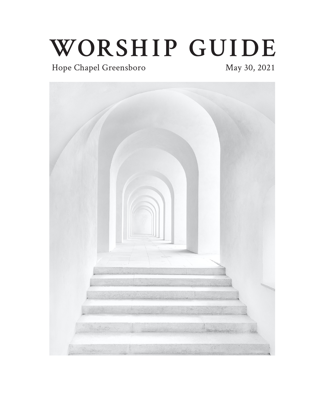# **WORSHIP GUIDE**

# Hope Chapel Greensboro May 30, 2021

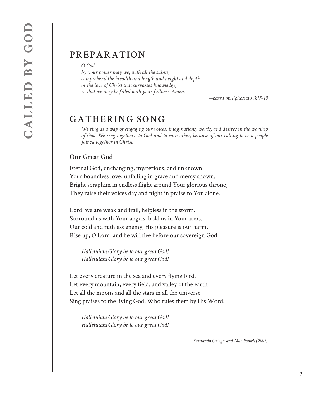## **PREPARATION**

*O God,*

*by your power may we, with all the saints, comprehend the breadth and length and height and depth of the love of Christ that surpasses knowledge, so that we may be filled with your fullness. Amen.*

*—based on Ephesians 3:18-19*

# **GATHERING SONG**

*We sing as a way of engaging our voices, imaginations, words, and desires in the worship of God. We sing together, to God and to each other, because of our calling to be a people joined together in Christ.*

#### **Our Great God**

Eternal God, unchanging, mysterious, and unknown, Your boundless love, unfailing in grace and mercy shown. Bright seraphim in endless flight around Your glorious throne; They raise their voices day and night in praise to You alone.

Lord, we are weak and frail, helpless in the storm. Surround us with Your angels, hold us in Your arms. Our cold and ruthless enemy, His pleasure is our harm. Rise up, O Lord, and he will flee before our sovereign God.

*Halleluiah! Glory be to our great God! Halleluiah! Glory be to our great God!*

Let every creature in the sea and every flying bird, Let every mountain, every field, and valley of the earth Let all the moons and all the stars in all the universe Sing praises to the living God, Who rules them by His Word.

*Halleluiah! Glory be to our great God! Halleluiah! Glory be to our great God!*

*Fernando Ortega and Mac Powell (2002)*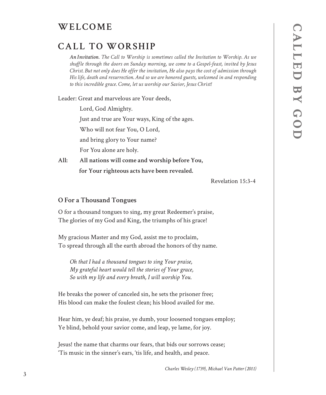# **WELCOME**

# **CALL TO WORSHIP**

*An Invitation. The Call to Worship is sometimes called the Invitation to Worship. As we shuffle through the doors on Sunday morning, we come to a Gospel-feast, invited by Jesus Christ. But not only does He offer the invitation, He also pays the cost of admission through His life, death and resurrection. And so we are honored guests, welcomed in and responding to this incredible grace. Come, let us worship our Savior, Jesus Christ!* 

Leader: Great and marvelous are Your deeds,

Lord, God Almighty.

Just and true are Your ways, King of the ages.

Who will not fear You, O Lord,

and bring glory to Your name?

For You alone are holy.

**All: All nations will come and worship before You, for Your righteous acts have been revealed.**

Revelation 15:3-4

#### **O For a Thousand Tongues**

O for a thousand tongues to sing, my great Redeemer's praise, The glories of my God and King, the triumphs of his grace!

My gracious Master and my God, assist me to proclaim, To spread through all the earth abroad the honors of thy name.

*Oh that I had a thousand tongues to sing Your praise, My grateful heart would tell the stories of Your grace, So with my life and every breath, I will worship You.*

He breaks the power of canceled sin, he sets the prisoner free; His blood can make the foulest clean; his blood availed for me.

Hear him, ye deaf; his praise, ye dumb, your loosened tongues employ; Ye blind, behold your savior come, and leap, ye lame, for joy.

Jesus! the name that charms our fears, that bids our sorrows cease; 'Tis music in the sinner's ears, 'tis life, and health, and peace.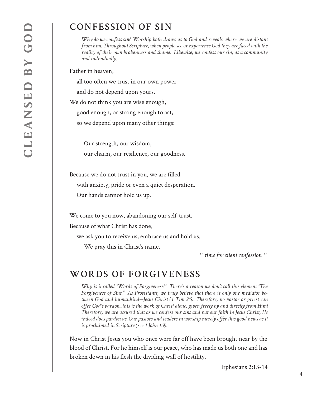# **CONFESSION OF SIN**

*Why do we confess sin? Worship both draws us to God and reveals where we are distant from him. Throughout Scripture, when people see or experience God they are faced with the reality of their own brokenness and shame. Likewise, we confess our sin, as a community and individually.* 

Father in heaven,

all too often we trust in our own power

and do not depend upon yours.

We do not think you are wise enough,

good enough, or strong enough to act,

so we depend upon many other things:

 Our strength, our wisdom, our charm, our resilience, our goodness.

Because we do not trust in you, we are filled with anxiety, pride or even a quiet desperation. Our hands cannot hold us up.

We come to you now, abandoning our self-trust.

Because of what Christ has done,

we ask you to receive us, embrace us and hold us.

We pray this in Christ's name.

*\*\* time for silent confession \*\**

### **WORDS OF FORGIVENESS**

*Why is it called "Words of Forgiveness?" There's a reason we don't call this element "The Forgiveness of Sins." As Protestants, we truly believe that there is only one mediator between God and humankind—Jesus Christ (1 Tim 2:5). Therefore, no pastor or priest can offer God's pardon...this is the work of Christ alone, given freely by and directly from Him! Therefore, we are assured that as we confess our sins and put our faith in Jesus Christ, He indeed does pardon us. Our pastors and leaders in worship merely offer this good news as it is proclaimed in Scripture (see 1 John 1:9).*

Now in Christ Jesus you who once were far off have been brought near by the blood of Christ. For he himself is our peace, who has made us both one and has broken down in his flesh the dividing wall of hostility.

Ephesians 2:13-14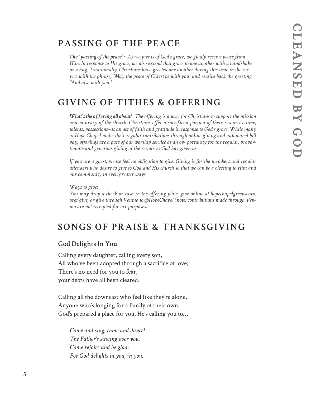# **PASSING OF THE PEACE**

*The "passing of the peace": As recipients of God's grace, we gladly receive peace from Him. In response to His grace, we also extend that grace to one another with a handshake or a hug. Traditionally, Christians have greeted one another during this time in the service with the phrase, "May the peace of Christ be with you" and receive back the greeting "And also with you."*

## **GIVING OF TITHES & OFFERING**

*What's the offering all about? The offering is a way for Christians to support the mission and ministry of the church. Christians offer a sacrificial portion of their resources–time, talents, possessions–as an act of faith and gratitude in response to God's grace. While many at Hope Chapel make their regular contributions through online giving and automated bill pay, offerings are a part of our worship service as an op- portunity for the regular, proportionate and generous giving of the resources God has given us.*

*If you are a guest, please feel no obligation to give. Giving is for the members and regular attenders who desire to give to God and His church so that we can be a blessing to Him and our community in even greater ways.* 

*Ways to give: You may drop a check or cash in the offering plate, give online at hopechapelgreensboro. org/give, or give through Venmo to @HopeChapel (note: contributions made through Venmo are not receipted for tax purposes).*

# **SONGS OF PRAISE & THANKSGIVING**

#### **God Delights In You**

Calling every daughter, calling every son, All who've been adopted through a sacrifice of love; There's no need for you to fear, your debts have all been cleared.

Calling all the downcast who feel like they're alone, Anyone who's longing for a family of their own, God's prepared a place for you, He's calling you to…

*Come and sing, come and dance! The Father's singing over you. Come rejoice and be glad, For God delights in you, in you.*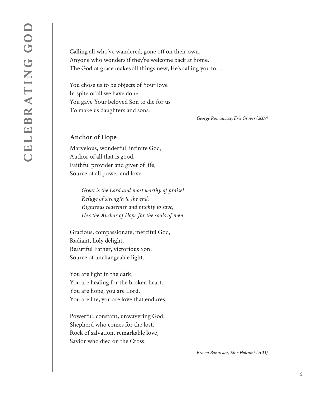Calling all who've wandered, gone off on their own, Anyone who wonders if they're welcome back at home. The God of grace makes all things new, He's calling you to…

You chose us to be objects of Your love In spite of all we have done. You gave Your beloved Son to die for us To make us daughters and sons.

*George Romanacce, Eric Grover (2009)*

#### **Anchor of Hope**

Marvelous, wonderful, infinite God, Author of all that is good. Faithful provider and giver of life, Source of all power and love.

> *Great is the Lord and most worthy of praise! Refuge of strength to the end. Righteous redeemer and mighty to save, He's the Anchor of Hope for the souls of men.*

Gracious, compassionate, merciful God, Radiant, holy delight. Beautiful Father, victorious Son, Source of unchangeable light.

You are light in the dark, You are healing for the broken heart. You are hope, you are Lord, You are life, you are love that endures.

Powerful, constant, unwavering God, Shepherd who comes for the lost. Rock of salvation, remarkable love, Savior who died on the Cross.

*Brown Bannister, Ellie Holcomb (2011)*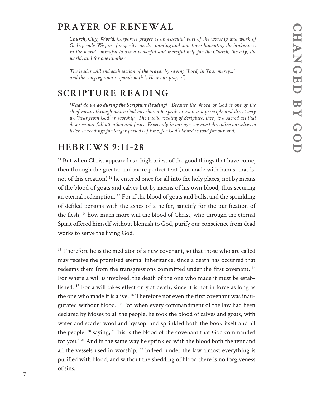# **PRAYER OF RENEWAL**

*Church, City, World. Corporate prayer is an essential part of the worship and work of God's people. We pray for specific needs– naming and sometimes lamenting the brokenness in the world– mindful to ask a powerful and merciful help for the Church, the city, the world, and for one another.*

*The leader will end each section of the prayer by saying "Lord, in Your mercy..." and the congregation responds with "...Hear our prayer".*

## **SCRIPTURE READING**

*What do we do during the Scripture Reading? Because the Word of God is one of the chief means through which God has chosen to speak to us, it is a principle and direct way we "hear from God" in worship. The public reading of Scripture, then, is a sacred act that deserves our full attention and focus. Especially in our age, we must discipline ourselves to listen to readings for longer periods of time, for God's Word is food for our soul.*

#### **HEBREWS 9:11-28**

 $11$  But when Christ appeared as a high priest of the good things that have come, then through the greater and more perfect tent (not made with hands, that is, not of this creation) 12 he entered once for all into the holy places, not by means of the blood of goats and calves but by means of his own blood, thus securing an eternal redemption.  $^{13}$  For if the blood of goats and bulls, and the sprinkling of defiled persons with the ashes of a heifer, sanctify for the purification of the flesh, 14 how much more will the blood of Christ, who through the eternal Spirit offered himself without blemish to God, purify our conscience from dead works to serve the living God.

<sup>15</sup> Therefore he is the mediator of a new covenant, so that those who are called may receive the promised eternal inheritance, since a death has occurred that redeems them from the transgressions committed under the first covenant. 16 For where a will is involved, the death of the one who made it must be established. 17 For a will takes effect only at death, since it is not in force as long as the one who made it is alive. <sup>18</sup> Therefore not even the first covenant was inaugurated without blood.<sup>19</sup> For when every commandment of the law had been declared by Moses to all the people, he took the blood of calves and goats, with water and scarlet wool and hyssop, and sprinkled both the book itself and all the people,  $20$  saying, "This is the blood of the covenant that God commanded for you." 21 And in the same way he sprinkled with the blood both the tent and all the vessels used in worship.  $^{22}$  Indeed, under the law almost everything is purified with blood, and without the shedding of blood there is no forgiveness of sins.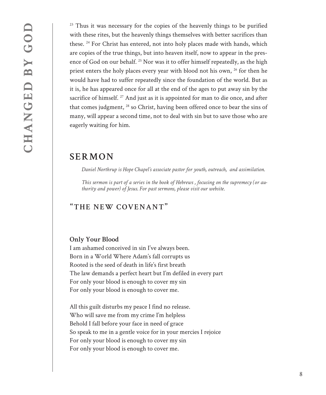$23$  Thus it was necessary for the copies of the heavenly things to be purified with these rites, but the heavenly things themselves with better sacrifices than these. 24 For Christ has entered, not into holy places made with hands, which are copies of the true things, but into heaven itself, now to appear in the presence of God on our behalf.<sup>25</sup> Nor was it to offer himself repeatedly, as the high priest enters the holy places every year with blood not his own, <sup>26</sup> for then he would have had to suffer repeatedly since the foundation of the world. But as it is, he has appeared once for all at the end of the ages to put away sin by the sacrifice of himself.<sup>27</sup> And just as it is appointed for man to die once, and after that comes judgment, 28 so Christ, having been offered once to bear the sins of many, will appear a second time, not to deal with sin but to save those who are eagerly waiting for him.

#### **SERMON**

*Daniel Northrup is Hope Chapel's associate pastor for youth, outreach, and assimilation.* 

*This sermon is part of a series in the book of Hebrews , focusing on the supremecy (or authority and power) of Jesus. For past sermons, please visit our website.*

#### "**THE NEW COVENANT**"

#### **Only Your Blood**

I am ashamed conceived in sin I've always been. Born in a World Where Adam's fall corrupts us Rooted is the seed of death in life's first breath The law demands a perfect heart but I'm defiled in every part For only your blood is enough to cover my sin For only your blood is enough to cover me.

All this guilt disturbs my peace I find no release. Who will save me from my crime I'm helpless Behold I fall before your face in need of grace So speak to me in a gentle voice for in your mercies I rejoice For only your blood is enough to cover my sin For only your blood is enough to cover me.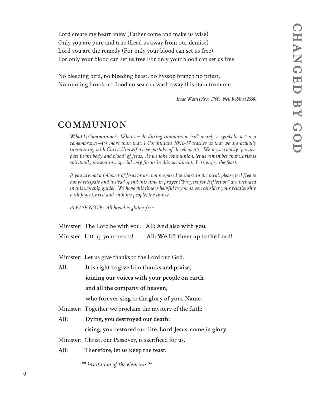Lord create my heart anew (Father come and make us wise) Only you are pure and true (Lead us away from our demise) Lord you are the remedy (For only your blood can set us free) For only your blood can set us free For only your blood can set us free

No bleeding bird, no bleeding beast, no hyssop branch no priest, No running brook no flood no sea can wash away this stain from me.

*Isaac Watts (circa 1700), Neil Robins (2008)*

#### **COMMUNION**

*What Is Communion? What we do during communion isn't merely a symbolic act or a remembrance—it's more than that. 1 Corinthians 10:16-17 teaches us that we are actually communing with Christ Himself as we partake of the elements. We mysteriously "participate in the body and blood" of Jesus. As we take communion, let us remember that Christ is spiritually present in a special way for us in this sacrament. Let's enjoy the feast!*

*If you are not a follower of Jesus or are not prepared to share in the meal, please feel free to not participate and instead spend this time in prayer ("Prayers for Reflection" are included in this worship guide). We hope this time is helpful to you as you consider your relationship with Jesus Christ and with his people, the church.*

*PLEASE NOTE: All bread is gluten-free.*

Minister: The Lord be with you. **All: And also with you.** Minister: Lift up your hearts! **All: We lift them up to the Lord!**

Minister: Let us give thanks to the Lord our God.

**All: It is right to give him thanks and praise, joining our voices with your people on earth and all the company of heaven,** 

 **who forever sing to the glory of your Name.**

Minister: Together we proclaim the mystery of the faith:

**All: Dying, you destroyed our death;** 

 **rising, you restored our life. Lord Jesus, come in glory.**

Minister: Christ, our Passover, is sacrificed for us.

**All: Therefore, let us keep the feast.**

*\*\* institution of the elements \*\**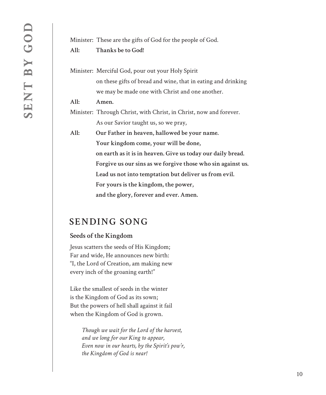Minister: These are the gifts of God for the people of God. **All: Thanks be to God!**

Minister: Merciful God, pour out your Holy Spirit on these gifts of bread and wine, that in eating and drinking we may be made one with Christ and one another.

**All: Amen.**

Minister: Through Christ, with Christ, in Christ, now and forever. As our Savior taught us, so we pray,

**All: Our Father in heaven, hallowed be your name. Your kingdom come, your will be done, on earth as it is in heaven. Give us today our daily bread. Forgive us our sins as we forgive those who sin against us. Lead us not into temptation but deliver us from evil. For yours is the kingdom, the power, and the glory, forever and ever. Amen.**

## **SENDING SONG**

#### **Seeds of the Kingdom**

Jesus scatters the seeds of His Kingdom; Far and wide, He announces new birth: "I, the Lord of Creation, am making new every inch of the groaning earth!"

Like the smallest of seeds in the winter is the Kingdom of God as its sown; But the powers of hell shall against it fail when the Kingdom of God is grown.

> *Though we wait for the Lord of the harvest, and we long for our King to appear, Even now in our hearts, by the Spirit's pow'r, the Kingdom of God is near!*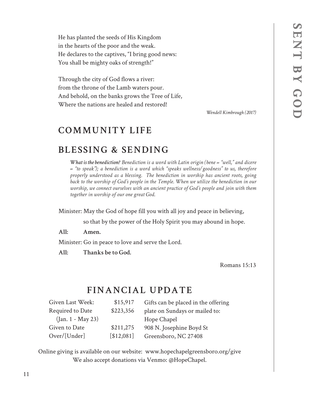He has planted the seeds of His Kingdom in the hearts of the poor and the weak. He declares to the captives, "I bring good news: You shall be mighty oaks of strength!"

Through the city of God flows a river: from the throne of the Lamb waters pour. And behold, on the banks grows the Tree of Life, Where the nations are healed and restored!

*Wendell Kimbrough (2017)*

# **COMMUNITY LIFE**

## **BLESSING & SENDING**

*What is the benediction? Benediction is a word with Latin origin (bene = "well," and dicere = "to speak"); a benediction is a word which "speaks wellness/goodness" to us, therefore properly understood as a blessing. The benediction in worship has ancient roots, going back to the worship of God's people in the Temple. When we utilize the benediction in our worship, we connect ourselves with an ancient practice of God's people and join with them together in worship of our one great God.*

Minister: May the God of hope fill you with all joy and peace in believing,

so that by the power of the Holy Spirit you may abound in hope.

**All: Amen.**

Minister: Go in peace to love and serve the Lord.

**All: Thanks be to God.**

Romans 15:13

## **FINANCIAL UPDATE**

| Given Last Week:    | \$15,917   | Gifts can be placed in the offering |
|---------------------|------------|-------------------------------------|
| Required to Date    | \$223,356  | plate on Sundays or mailed to:      |
| $(Jan. 1 - May 23)$ |            | Hope Chapel                         |
| Given to Date       | \$211,275  | 908 N. Josephine Boyd St            |
| Over/[Under]        | [\$12,081] | Greensboro, NC 27408                |

Online giving is available on our website: www.hopechapelgreensboro.org/give We also accept donations via Venmo: @HopeChapel.